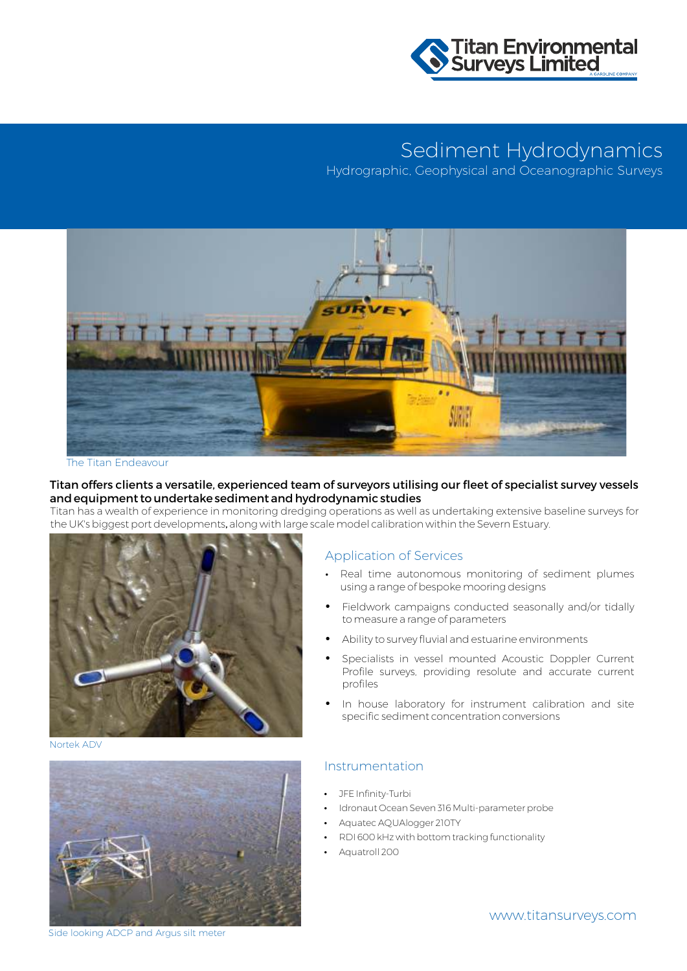

# Sediment Hydrodynamics

Marine Aggregate Monitoring Hydrographic, Geophysical and Oceanographic Surveys



The Titan Endeavour

### Titan offers clients a versatile, experienced team of surveyors utilising our fleet of specialist survey vessels and equipment to undertake sediment and hydrodynamic studies

Titan has a wealth of experience in monitoring dredging operations as well as undertaking extensive baseline surveys for the UK's biggest port developments, along with large scale model calibration within the Severn Estuary.



Nortek ADV



### Application of Services

- Real time autonomous monitoring of sediment plumes using a range of bespoke mooring designs
- Fieldwork campaigns conducted seasonally and/or tidally to measure a range of parameters
- Ability to survey fluvial and estuarine environments
- Specialists in vessel mounted Acoustic Doppler Current Profile surveys, providing resolute and accurate current profiles
- In house laboratory for instrument calibration and site specific sediment concentration conversions

### Instrumentation

- JFE Infinity-Turbi
- Idronaut Ocean Seven 316 Multi-parameter probe
- Aquatec AQUAlogger 210TY
- RDI 600 kHz with bottom tracking functionality
- Aquatroll 200

Side looking ADCP and Argus silt meter